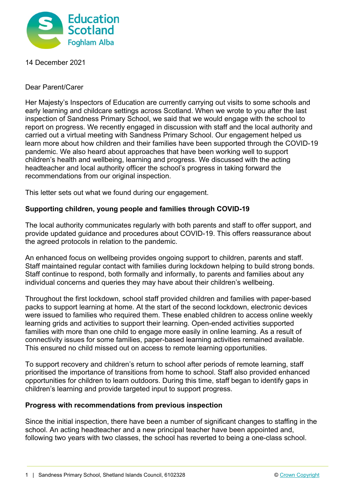

14 December 2021

## Dear Parent/Carer

Her Majesty's Inspectors of Education are currently carrying out visits to some schools and early learning and childcare settings across Scotland. When we wrote to you after the last inspection of Sandness Primary School, we said that we would engage with the school to report on progress. We recently engaged in discussion with staff and the local authority and carried out a virtual meeting with Sandness Primary School. Our engagement helped us learn more about how children and their families have been supported through the COVID-19 pandemic. We also heard about approaches that have been working well to support children's health and wellbeing, learning and progress. We discussed with the acting headteacher and local authority officer the school's progress in taking forward the recommendations from our original inspection.

This letter sets out what we found during our engagement.

## **Supporting children, young people and families through COVID-19**

The local authority communicates regularly with both parents and staff to offer support, and provide updated guidance and procedures about COVID-19. This offers reassurance about the agreed protocols in relation to the pandemic.

An enhanced focus on wellbeing provides ongoing support to children, parents and staff. Staff maintained regular contact with families during lockdown helping to build strong bonds. Staff continue to respond, both formally and informally, to parents and families about any individual concerns and queries they may have about their children's wellbeing.

Throughout the first lockdown, school staff provided children and families with paper-based packs to support learning at home. At the start of the second lockdown, electronic devices were issued to families who required them. These enabled children to access online weekly learning grids and activities to support their learning. Open-ended activities supported families with more than one child to engage more easily in online learning. As a result of connectivity issues for some families, paper-based learning activities remained available. This ensured no child missed out on access to remote learning opportunities.

To support recovery and children's return to school after periods of remote learning, staff prioritised the importance of transitions from home to school. Staff also provided enhanced opportunities for children to learn outdoors. During this time, staff began to identify gaps in children's learning and provide targeted input to support progress.

## **Progress with recommendations from previous inspection**

Since the initial inspection, there have been a number of significant changes to staffing in the school. An acting headteacher and a new principal teacher have been appointed and, following two years with two classes, the school has reverted to being a one-class school.